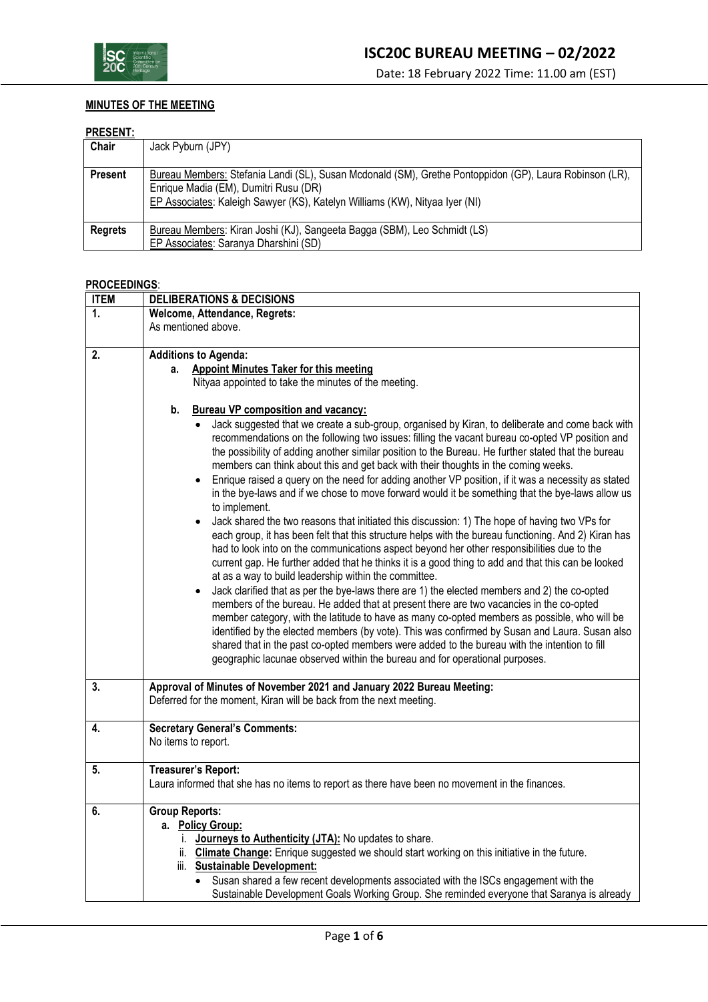

### **MINUTES OF THE MEETING**

#### **PRESENT:**

| .              |                                                                                                                                                                                                                                 |
|----------------|---------------------------------------------------------------------------------------------------------------------------------------------------------------------------------------------------------------------------------|
| Chair          | Jack Pyburn (JPY)                                                                                                                                                                                                               |
| <b>Present</b> | Bureau Members: Stefania Landi (SL), Susan Mcdonald (SM), Grethe Pontoppidon (GP), Laura Robinson (LR),<br>Enrique Madia (EM), Dumitri Rusu (DR)<br>EP Associates: Kaleigh Sawyer (KS), Katelyn Williams (KW), Nityaa Iyer (NI) |
| <b>Regrets</b> | Bureau Members: Kiran Joshi (KJ), Sangeeta Bagga (SBM), Leo Schmidt (LS)                                                                                                                                                        |
|                | EP Associates: Saranya Dharshini (SD)                                                                                                                                                                                           |

### **PROCEEDINGS**:

| <b>ITEM</b> | <b>DELIBERATIONS &amp; DECISIONS</b>                                                                                                                                                                                                                                                                                                                                                                                                                                                                                                                                                                                                                                                                                                                                                                                                                                                                                                                                                                                                                                                                                                                                                                                                                                                                                                                                                                                                                                                          |  |
|-------------|-----------------------------------------------------------------------------------------------------------------------------------------------------------------------------------------------------------------------------------------------------------------------------------------------------------------------------------------------------------------------------------------------------------------------------------------------------------------------------------------------------------------------------------------------------------------------------------------------------------------------------------------------------------------------------------------------------------------------------------------------------------------------------------------------------------------------------------------------------------------------------------------------------------------------------------------------------------------------------------------------------------------------------------------------------------------------------------------------------------------------------------------------------------------------------------------------------------------------------------------------------------------------------------------------------------------------------------------------------------------------------------------------------------------------------------------------------------------------------------------------|--|
| 1.          | Welcome, Attendance, Regrets:                                                                                                                                                                                                                                                                                                                                                                                                                                                                                                                                                                                                                                                                                                                                                                                                                                                                                                                                                                                                                                                                                                                                                                                                                                                                                                                                                                                                                                                                 |  |
|             | As mentioned above.                                                                                                                                                                                                                                                                                                                                                                                                                                                                                                                                                                                                                                                                                                                                                                                                                                                                                                                                                                                                                                                                                                                                                                                                                                                                                                                                                                                                                                                                           |  |
|             |                                                                                                                                                                                                                                                                                                                                                                                                                                                                                                                                                                                                                                                                                                                                                                                                                                                                                                                                                                                                                                                                                                                                                                                                                                                                                                                                                                                                                                                                                               |  |
| 2.          | <b>Additions to Agenda:</b>                                                                                                                                                                                                                                                                                                                                                                                                                                                                                                                                                                                                                                                                                                                                                                                                                                                                                                                                                                                                                                                                                                                                                                                                                                                                                                                                                                                                                                                                   |  |
|             | <b>Appoint Minutes Taker for this meeting</b><br>а.                                                                                                                                                                                                                                                                                                                                                                                                                                                                                                                                                                                                                                                                                                                                                                                                                                                                                                                                                                                                                                                                                                                                                                                                                                                                                                                                                                                                                                           |  |
|             | Nityaa appointed to take the minutes of the meeting.                                                                                                                                                                                                                                                                                                                                                                                                                                                                                                                                                                                                                                                                                                                                                                                                                                                                                                                                                                                                                                                                                                                                                                                                                                                                                                                                                                                                                                          |  |
|             | <b>Bureau VP composition and vacancy:</b><br>b.                                                                                                                                                                                                                                                                                                                                                                                                                                                                                                                                                                                                                                                                                                                                                                                                                                                                                                                                                                                                                                                                                                                                                                                                                                                                                                                                                                                                                                               |  |
|             | Jack suggested that we create a sub-group, organised by Kiran, to deliberate and come back with<br>recommendations on the following two issues: filling the vacant bureau co-opted VP position and<br>the possibility of adding another similar position to the Bureau. He further stated that the bureau<br>members can think about this and get back with their thoughts in the coming weeks.<br>Enrique raised a query on the need for adding another VP position, if it was a necessity as stated<br>in the bye-laws and if we chose to move forward would it be something that the bye-laws allow us<br>to implement.<br>Jack shared the two reasons that initiated this discussion: 1) The hope of having two VPs for<br>each group, it has been felt that this structure helps with the bureau functioning. And 2) Kiran has<br>had to look into on the communications aspect beyond her other responsibilities due to the<br>current gap. He further added that he thinks it is a good thing to add and that this can be looked<br>at as a way to build leadership within the committee.<br>Jack clarified that as per the bye-laws there are 1) the elected members and 2) the co-opted<br>members of the bureau. He added that at present there are two vacancies in the co-opted<br>member category, with the latitude to have as many co-opted members as possible, who will be<br>identified by the elected members (by vote). This was confirmed by Susan and Laura. Susan also |  |
|             | shared that in the past co-opted members were added to the bureau with the intention to fill<br>geographic lacunae observed within the bureau and for operational purposes.                                                                                                                                                                                                                                                                                                                                                                                                                                                                                                                                                                                                                                                                                                                                                                                                                                                                                                                                                                                                                                                                                                                                                                                                                                                                                                                   |  |
|             |                                                                                                                                                                                                                                                                                                                                                                                                                                                                                                                                                                                                                                                                                                                                                                                                                                                                                                                                                                                                                                                                                                                                                                                                                                                                                                                                                                                                                                                                                               |  |
| 3.          | Approval of Minutes of November 2021 and January 2022 Bureau Meeting:<br>Deferred for the moment, Kiran will be back from the next meeting.                                                                                                                                                                                                                                                                                                                                                                                                                                                                                                                                                                                                                                                                                                                                                                                                                                                                                                                                                                                                                                                                                                                                                                                                                                                                                                                                                   |  |
| 4.          | <b>Secretary General's Comments:</b><br>No items to report.                                                                                                                                                                                                                                                                                                                                                                                                                                                                                                                                                                                                                                                                                                                                                                                                                                                                                                                                                                                                                                                                                                                                                                                                                                                                                                                                                                                                                                   |  |
| 5.          | <b>Treasurer's Report:</b>                                                                                                                                                                                                                                                                                                                                                                                                                                                                                                                                                                                                                                                                                                                                                                                                                                                                                                                                                                                                                                                                                                                                                                                                                                                                                                                                                                                                                                                                    |  |
|             | Laura informed that she has no items to report as there have been no movement in the finances.                                                                                                                                                                                                                                                                                                                                                                                                                                                                                                                                                                                                                                                                                                                                                                                                                                                                                                                                                                                                                                                                                                                                                                                                                                                                                                                                                                                                |  |
| 6.          | <b>Group Reports:</b>                                                                                                                                                                                                                                                                                                                                                                                                                                                                                                                                                                                                                                                                                                                                                                                                                                                                                                                                                                                                                                                                                                                                                                                                                                                                                                                                                                                                                                                                         |  |
|             | a. Policy Group:                                                                                                                                                                                                                                                                                                                                                                                                                                                                                                                                                                                                                                                                                                                                                                                                                                                                                                                                                                                                                                                                                                                                                                                                                                                                                                                                                                                                                                                                              |  |
|             | Journeys to Authenticity (JTA): No updates to share.<br>i.                                                                                                                                                                                                                                                                                                                                                                                                                                                                                                                                                                                                                                                                                                                                                                                                                                                                                                                                                                                                                                                                                                                                                                                                                                                                                                                                                                                                                                    |  |
|             | ii. Climate Change: Enrique suggested we should start working on this initiative in the future.                                                                                                                                                                                                                                                                                                                                                                                                                                                                                                                                                                                                                                                                                                                                                                                                                                                                                                                                                                                                                                                                                                                                                                                                                                                                                                                                                                                               |  |
|             | iii. Sustainable Development:                                                                                                                                                                                                                                                                                                                                                                                                                                                                                                                                                                                                                                                                                                                                                                                                                                                                                                                                                                                                                                                                                                                                                                                                                                                                                                                                                                                                                                                                 |  |
|             | Susan shared a few recent developments associated with the ISCs engagement with the                                                                                                                                                                                                                                                                                                                                                                                                                                                                                                                                                                                                                                                                                                                                                                                                                                                                                                                                                                                                                                                                                                                                                                                                                                                                                                                                                                                                           |  |
|             | Sustainable Development Goals Working Group. She reminded everyone that Saranya is already                                                                                                                                                                                                                                                                                                                                                                                                                                                                                                                                                                                                                                                                                                                                                                                                                                                                                                                                                                                                                                                                                                                                                                                                                                                                                                                                                                                                    |  |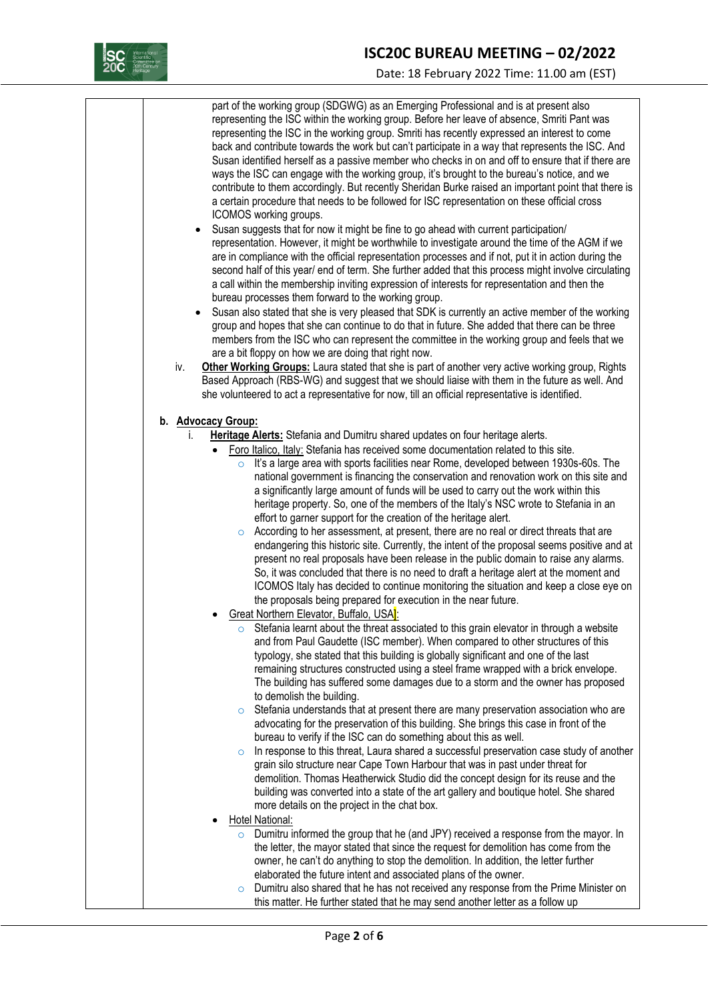

## **ISC20C BUREAU MEETING – 02/2022**

Date: 18 February 2022 Time: 11.00 am (EST)

part of the working group (SDGWG) as an Emerging Professional and is at present also representing the ISC within the working group. Before her leave of absence, Smriti Pant was representing the ISC in the working group. Smriti has recently expressed an interest to come back and contribute towards the work but can't participate in a way that represents the ISC. And Susan identified herself as a passive member who checks in on and off to ensure that if there are ways the ISC can engage with the working group, it's brought to the bureau's notice, and we contribute to them accordingly. But recently Sheridan Burke raised an important point that there is a certain procedure that needs to be followed for ISC representation on these official cross ICOMOS working groups.

- Susan suggests that for now it might be fine to go ahead with current participation/ representation. However, it might be worthwhile to investigate around the time of the AGM if we are in compliance with the official representation processes and if not, put it in action during the second half of this year/ end of term. She further added that this process might involve circulating a call within the membership inviting expression of interests for representation and then the bureau processes them forward to the working group.
- Susan also stated that she is very pleased that SDK is currently an active member of the working group and hopes that she can continue to do that in future. She added that there can be three members from the ISC who can represent the committee in the working group and feels that we are a bit floppy on how we are doing that right now.
- iv. **Other Working Groups:** Laura stated that she is part of another very active working group, Rights Based Approach (RBS-WG) and suggest that we should liaise with them in the future as well. And she volunteered to act a representative for now, till an official representative is identified.
- **b. Advocacy Group:**
	- i. **Heritage Alerts:** Stefania and Dumitru shared updates on four heritage alerts.
		- Foro Italico, Italy: Stefania has received some documentation related to this site.
			- It's a large area with sports facilities near Rome, developed between 1930s-60s. The national government is financing the conservation and renovation work on this site and a significantly large amount of funds will be used to carry out the work within this heritage property. So, one of the members of the Italy's NSC wrote to Stefania in an effort to garner support for the creation of the heritage alert.
			- o According to her assessment, at present, there are no real or direct threats that are endangering this historic site. Currently, the intent of the proposal seems positive and at present no real proposals have been release in the public domain to raise any alarms. So, it was concluded that there is no need to draft a heritage alert at the moment and ICOMOS Italy has decided to continue monitoring the situation and keep a close eye on the proposals being prepared for execution in the near future.
		- Great Northern Elevator, Buffalo, USA<sup>1</sup>:
			- Stefania learnt about the threat associated to this grain elevator in through a website and from Paul Gaudette (ISC member). When compared to other structures of this typology, she stated that this building is globally significant and one of the last remaining structures constructed using a steel frame wrapped with a brick envelope. The building has suffered some damages due to a storm and the owner has proposed to demolish the building.
			- $\circ$  Stefania understands that at present there are many preservation association who are advocating for the preservation of this building. She brings this case in front of the bureau to verify if the ISC can do something about this as well.
			- $\circ$  In response to this threat, Laura shared a successful preservation case study of another grain silo structure near Cape Town Harbour that was in past under threat for demolition. Thomas Heatherwick Studio did the concept design for its reuse and the building was converted into a state of the art gallery and boutique hotel. She shared more details on the project in the chat box.
		- Hotel National:
			- $\circ$  Dumitru informed the group that he (and JPY) received a response from the mayor. In the letter, the mayor stated that since the request for demolition has come from the owner, he can't do anything to stop the demolition. In addition, the letter further elaborated the future intent and associated plans of the owner.
			- Dumitru also shared that he has not received any response from the Prime Minister on this matter. He further stated that he may send another letter as a follow up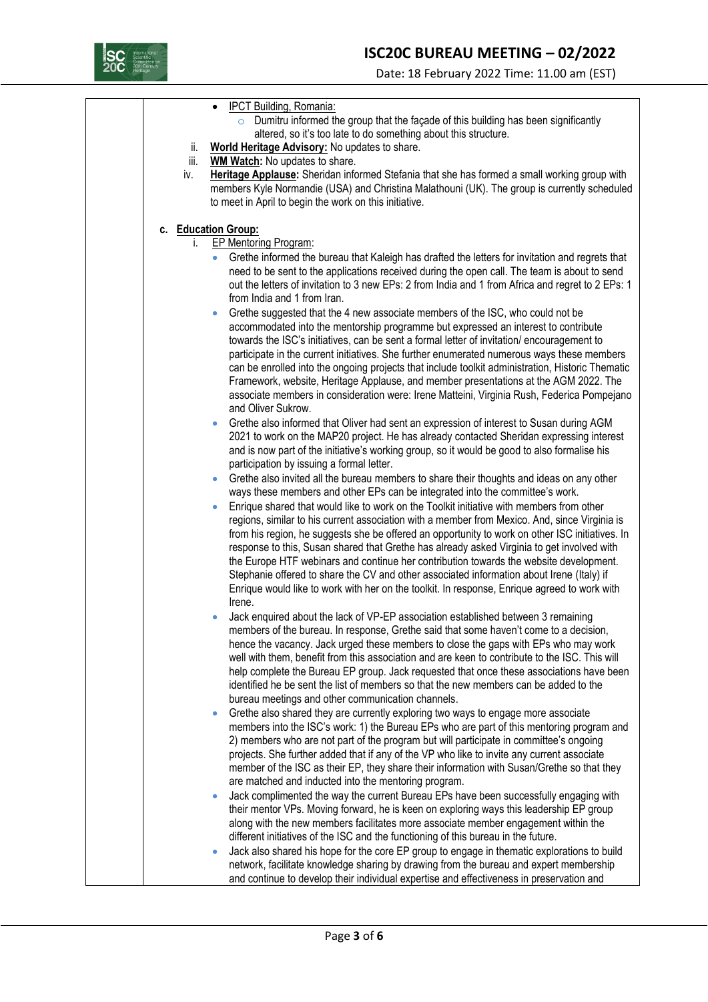

Date: 18 February 2022 Time: 11.00 am (EST)

|      | IPCT Building, Romania:                                                                                  |
|------|----------------------------------------------------------------------------------------------------------|
|      | Dumitru informed the group that the façade of this building has been significantly                       |
|      | altered, so it's too late to do something about this structure.                                          |
| ii.  | World Heritage Advisory: No updates to share.                                                            |
| iii. | <b>WM Watch:</b> No updates to share.                                                                    |
| iv.  | Heritage Applause: Sheridan informed Stefania that she has formed a small working group with             |
|      | members Kyle Normandie (USA) and Christina Malathouni (UK). The group is currently scheduled             |
|      | to meet in April to begin the work on this initiative.                                                   |
|      |                                                                                                          |
|      | c. Education Group:                                                                                      |
| i.   | <b>EP Mentoring Program:</b>                                                                             |
|      | Grethe informed the bureau that Kaleigh has drafted the letters for invitation and regrets that          |
|      | need to be sent to the applications received during the open call. The team is about to send             |
|      | out the letters of invitation to 3 new EPs: 2 from India and 1 from Africa and regret to 2 EPs: 1        |
|      | from India and 1 from Iran.                                                                              |
|      | Grethe suggested that the 4 new associate members of the ISC, who could not be<br>$\bullet$              |
|      | accommodated into the mentorship programme but expressed an interest to contribute                       |
|      | towards the ISC's initiatives, can be sent a formal letter of invitation/encouragement to                |
|      | participate in the current initiatives. She further enumerated numerous ways these members               |
|      | can be enrolled into the ongoing projects that include toolkit administration, Historic Thematic         |
|      | Framework, website, Heritage Applause, and member presentations at the AGM 2022. The                     |
|      | associate members in consideration were: Irene Matteini, Virginia Rush, Federica Pompejano               |
|      | and Oliver Sukrow.                                                                                       |
|      | Grethe also informed that Oliver had sent an expression of interest to Susan during AGM<br>$\bullet$     |
|      | 2021 to work on the MAP20 project. He has already contacted Sheridan expressing interest                 |
|      | and is now part of the initiative's working group, so it would be good to also formalise his             |
|      | participation by issuing a formal letter.                                                                |
|      | Grethe also invited all the bureau members to share their thoughts and ideas on any other                |
|      | ways these members and other EPs can be integrated into the committee's work.                            |
|      | Enrique shared that would like to work on the Toolkit initiative with members from other                 |
|      | regions, similar to his current association with a member from Mexico. And, since Virginia is            |
|      | from his region, he suggests she be offered an opportunity to work on other ISC initiatives. In          |
|      | response to this, Susan shared that Grethe has already asked Virginia to get involved with               |
|      | the Europe HTF webinars and continue her contribution towards the website development.                   |
|      | Stephanie offered to share the CV and other associated information about Irene (Italy) if                |
|      | Enrique would like to work with her on the toolkit. In response, Enrique agreed to work with             |
|      | Irene.                                                                                                   |
|      | Jack enquired about the lack of VP-EP association established between 3 remaining                        |
|      | members of the bureau. In response, Grethe said that some haven't come to a decision,                    |
|      | hence the vacancy. Jack urged these members to close the gaps with EPs who may work                      |
|      | well with them, benefit from this association and are keen to contribute to the ISC. This will           |
|      | help complete the Bureau EP group. Jack requested that once these associations have been                 |
|      | identified he be sent the list of members so that the new members can be added to the                    |
|      | bureau meetings and other communication channels.                                                        |
|      | Grethe also shared they are currently exploring two ways to engage more associate                        |
|      | members into the ISC's work: 1) the Bureau EPs who are part of this mentoring program and                |
|      | 2) members who are not part of the program but will participate in committee's ongoing                   |
|      | projects. She further added that if any of the VP who like to invite any current associate               |
|      | member of the ISC as their EP, they share their information with Susan/Grethe so that they               |
|      | are matched and inducted into the mentoring program.                                                     |
|      | Jack complimented the way the current Bureau EPs have been successfully engaging with<br>$\bullet$       |
|      | their mentor VPs. Moving forward, he is keen on exploring ways this leadership EP group                  |
|      | along with the new members facilitates more associate member engagement within the                       |
|      | different initiatives of the ISC and the functioning of this bureau in the future.                       |
|      | Jack also shared his hope for the core EP group to engage in thematic explorations to build<br>$\bullet$ |
|      | network, facilitate knowledge sharing by drawing from the bureau and expert membership                   |
|      | and continue to develop their individual expertise and effectiveness in preservation and                 |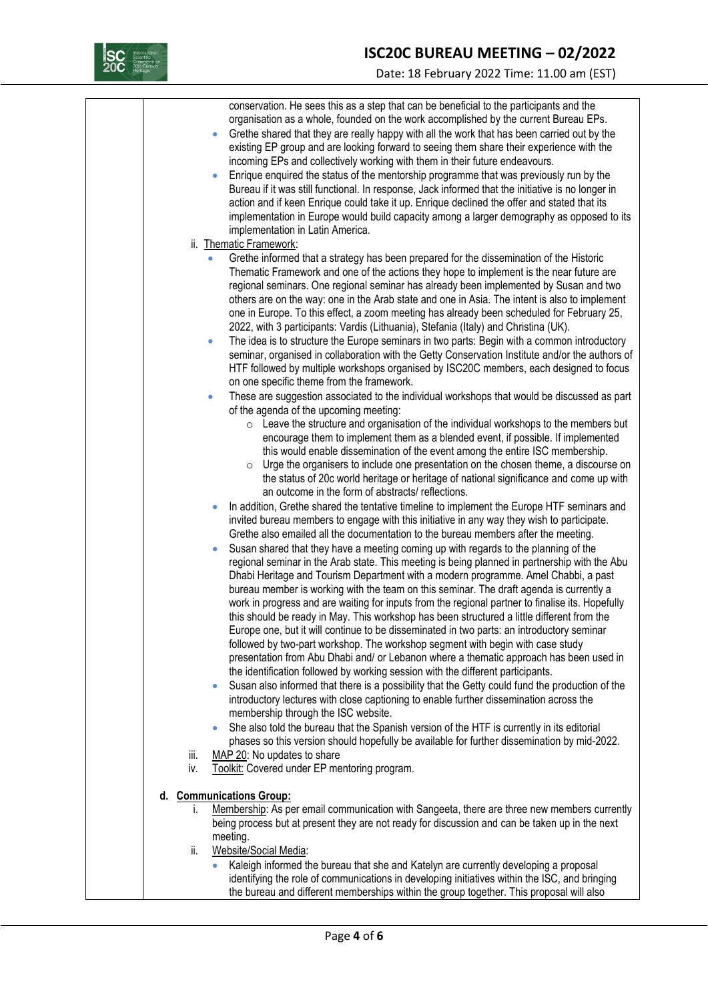

## **ISC20C BUREAU MEETING – 02/2022**

Date: 18 February 2022 Time: 11.00 am (EST)

|             | conservation. He sees this as a step that can be beneficial to the participants and the<br>organisation as a whole, founded on the work accomplished by the current Bureau EPs.<br>Grethe shared that they are really happy with all the work that has been carried out by the<br>$\bullet$<br>existing EP group and are looking forward to seeing them share their experience with the<br>incoming EPs and collectively working with them in their future endeavours.<br>Enrique enquired the status of the mentorship programme that was previously run by the<br>$\bullet$<br>Bureau if it was still functional. In response, Jack informed that the initiative is no longer in<br>action and if keen Enrique could take it up. Enrique declined the offer and stated that its<br>implementation in Europe would build capacity among a larger demography as opposed to its<br>implementation in Latin America.<br>ii. Thematic Framework:                                                                                                                                                                                                                                                                                                                                                                                                                                                                                                                                                                                                                                                                                                                                                                                                                                             |
|-------------|-------------------------------------------------------------------------------------------------------------------------------------------------------------------------------------------------------------------------------------------------------------------------------------------------------------------------------------------------------------------------------------------------------------------------------------------------------------------------------------------------------------------------------------------------------------------------------------------------------------------------------------------------------------------------------------------------------------------------------------------------------------------------------------------------------------------------------------------------------------------------------------------------------------------------------------------------------------------------------------------------------------------------------------------------------------------------------------------------------------------------------------------------------------------------------------------------------------------------------------------------------------------------------------------------------------------------------------------------------------------------------------------------------------------------------------------------------------------------------------------------------------------------------------------------------------------------------------------------------------------------------------------------------------------------------------------------------------------------------------------------------------------------------------------|
|             |                                                                                                                                                                                                                                                                                                                                                                                                                                                                                                                                                                                                                                                                                                                                                                                                                                                                                                                                                                                                                                                                                                                                                                                                                                                                                                                                                                                                                                                                                                                                                                                                                                                                                                                                                                                           |
|             | Grethe informed that a strategy has been prepared for the dissemination of the Historic<br>Thematic Framework and one of the actions they hope to implement is the near future are<br>regional seminars. One regional seminar has already been implemented by Susan and two<br>others are on the way: one in the Arab state and one in Asia. The intent is also to implement<br>one in Europe. To this effect, a zoom meeting has already been scheduled for February 25,<br>2022, with 3 participants: Vardis (Lithuania), Stefania (Italy) and Christina (UK).<br>The idea is to structure the Europe seminars in two parts: Begin with a common introductory<br>$\bullet$                                                                                                                                                                                                                                                                                                                                                                                                                                                                                                                                                                                                                                                                                                                                                                                                                                                                                                                                                                                                                                                                                                              |
|             | seminar, organised in collaboration with the Getty Conservation Institute and/or the authors of<br>HTF followed by multiple workshops organised by ISC20C members, each designed to focus<br>on one specific theme from the framework.                                                                                                                                                                                                                                                                                                                                                                                                                                                                                                                                                                                                                                                                                                                                                                                                                                                                                                                                                                                                                                                                                                                                                                                                                                                                                                                                                                                                                                                                                                                                                    |
|             | These are suggestion associated to the individual workshops that would be discussed as part                                                                                                                                                                                                                                                                                                                                                                                                                                                                                                                                                                                                                                                                                                                                                                                                                                                                                                                                                                                                                                                                                                                                                                                                                                                                                                                                                                                                                                                                                                                                                                                                                                                                                               |
|             | of the agenda of the upcoming meeting:<br>$\circ$ Leave the structure and organisation of the individual workshops to the members but<br>encourage them to implement them as a blended event, if possible. If implemented<br>this would enable dissemination of the event among the entire ISC membership.<br>Urge the organisers to include one presentation on the chosen theme, a discourse on<br>$\circ$<br>the status of 20c world heritage or heritage of national significance and come up with<br>an outcome in the form of abstracts/ reflections.                                                                                                                                                                                                                                                                                                                                                                                                                                                                                                                                                                                                                                                                                                                                                                                                                                                                                                                                                                                                                                                                                                                                                                                                                               |
| iii.<br>iv. | In addition, Grethe shared the tentative timeline to implement the Europe HTF seminars and<br>$\bullet$<br>invited bureau members to engage with this initiative in any way they wish to participate.<br>Grethe also emailed all the documentation to the bureau members after the meeting.<br>Susan shared that they have a meeting coming up with regards to the planning of the<br>$\bullet$<br>regional seminar in the Arab state. This meeting is being planned in partnership with the Abu<br>Dhabi Heritage and Tourism Department with a modern programme. Amel Chabbi, a past<br>bureau member is working with the team on this seminar. The draft agenda is currently a<br>work in progress and are waiting for inputs from the regional partner to finalise its. Hopefully<br>this should be ready in May. This workshop has been structured a little different from the<br>Europe one, but it will continue to be disseminated in two parts: an introductory seminar<br>followed by two-part workshop. The workshop segment with begin with case study<br>presentation from Abu Dhabi and/ or Lebanon where a thematic approach has been used in<br>the identification followed by working session with the different participants.<br>Susan also informed that there is a possibility that the Getty could fund the production of the<br>$\bullet$<br>introductory lectures with close captioning to enable further dissemination across the<br>membership through the ISC website.<br>She also told the bureau that the Spanish version of the HTF is currently in its editorial<br>$\bullet$<br>phases so this version should hopefully be available for further dissemination by mid-2022.<br>MAP 20: No updates to share<br>Toolkit: Covered under EP mentoring program. |
|             | d. Communications Group:                                                                                                                                                                                                                                                                                                                                                                                                                                                                                                                                                                                                                                                                                                                                                                                                                                                                                                                                                                                                                                                                                                                                                                                                                                                                                                                                                                                                                                                                                                                                                                                                                                                                                                                                                                  |
| İ.          | Membership: As per email communication with Sangeeta, there are three new members currently<br>being process but at present they are not ready for discussion and can be taken up in the next<br>meeting.                                                                                                                                                                                                                                                                                                                                                                                                                                                                                                                                                                                                                                                                                                                                                                                                                                                                                                                                                                                                                                                                                                                                                                                                                                                                                                                                                                                                                                                                                                                                                                                 |
| ii.         | Website/Social Media:                                                                                                                                                                                                                                                                                                                                                                                                                                                                                                                                                                                                                                                                                                                                                                                                                                                                                                                                                                                                                                                                                                                                                                                                                                                                                                                                                                                                                                                                                                                                                                                                                                                                                                                                                                     |
|             | Kaleigh informed the bureau that she and Katelyn are currently developing a proposal<br>identifying the role of communications in developing initiatives within the ISC, and bringing                                                                                                                                                                                                                                                                                                                                                                                                                                                                                                                                                                                                                                                                                                                                                                                                                                                                                                                                                                                                                                                                                                                                                                                                                                                                                                                                                                                                                                                                                                                                                                                                     |
|             | the bureau and different memberships within the group together. This proposal will also                                                                                                                                                                                                                                                                                                                                                                                                                                                                                                                                                                                                                                                                                                                                                                                                                                                                                                                                                                                                                                                                                                                                                                                                                                                                                                                                                                                                                                                                                                                                                                                                                                                                                                   |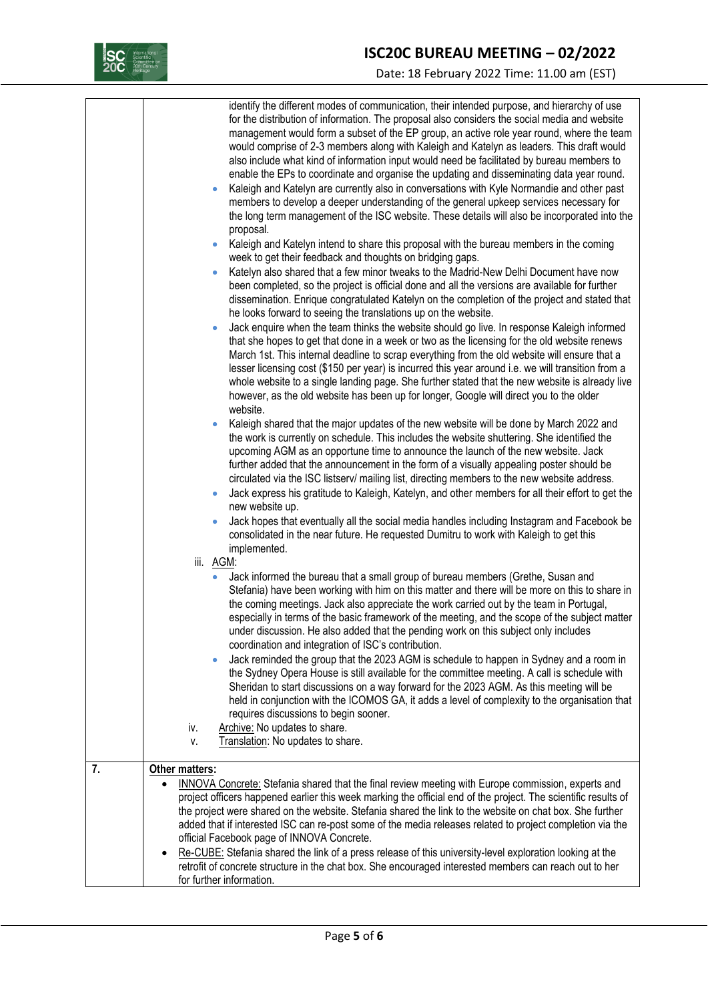

# **ISC20C BUREAU MEETING – 02/2022**

Date: 18 February 2022 Time: 11.00 am (EST)

|    | identify the different modes of communication, their intended purpose, and hierarchy of use<br>for the distribution of information. The proposal also considers the social media and website<br>management would form a subset of the EP group, an active role year round, where the team<br>would comprise of 2-3 members along with Kaleigh and Katelyn as leaders. This draft would<br>also include what kind of information input would need be facilitated by bureau members to<br>enable the EPs to coordinate and organise the updating and disseminating data year round.<br>Kaleigh and Katelyn are currently also in conversations with Kyle Normandie and other past<br>members to develop a deeper understanding of the general upkeep services necessary for<br>the long term management of the ISC website. These details will also be incorporated into the<br>proposal. |
|----|-----------------------------------------------------------------------------------------------------------------------------------------------------------------------------------------------------------------------------------------------------------------------------------------------------------------------------------------------------------------------------------------------------------------------------------------------------------------------------------------------------------------------------------------------------------------------------------------------------------------------------------------------------------------------------------------------------------------------------------------------------------------------------------------------------------------------------------------------------------------------------------------|
|    | Kaleigh and Katelyn intend to share this proposal with the bureau members in the coming                                                                                                                                                                                                                                                                                                                                                                                                                                                                                                                                                                                                                                                                                                                                                                                                 |
|    | week to get their feedback and thoughts on bridging gaps.<br>Katelyn also shared that a few minor tweaks to the Madrid-New Delhi Document have now<br>been completed, so the project is official done and all the versions are available for further<br>dissemination. Enrique congratulated Katelyn on the completion of the project and stated that                                                                                                                                                                                                                                                                                                                                                                                                                                                                                                                                   |
|    | he looks forward to seeing the translations up on the website.<br>Jack enquire when the team thinks the website should go live. In response Kaleigh informed<br>that she hopes to get that done in a week or two as the licensing for the old website renews<br>March 1st. This internal deadline to scrap everything from the old website will ensure that a<br>lesser licensing cost (\$150 per year) is incurred this year around i.e. we will transition from a<br>whole website to a single landing page. She further stated that the new website is already live<br>however, as the old website has been up for longer, Google will direct you to the older<br>website.                                                                                                                                                                                                           |
|    | Kaleigh shared that the major updates of the new website will be done by March 2022 and<br>the work is currently on schedule. This includes the website shuttering. She identified the<br>upcoming AGM as an opportune time to announce the launch of the new website. Jack<br>further added that the announcement in the form of a visually appealing poster should be<br>circulated via the ISC listserv/ mailing list, directing members to the new website address.<br>Jack express his gratitude to Kaleigh, Katelyn, and other members for all their effort to get the<br>new website up.                                                                                                                                                                                                                                                                                         |
|    | Jack hopes that eventually all the social media handles including Instagram and Facebook be<br>consolidated in the near future. He requested Dumitru to work with Kaleigh to get this<br>implemented.                                                                                                                                                                                                                                                                                                                                                                                                                                                                                                                                                                                                                                                                                   |
|    | iii. AGM:<br>Jack informed the bureau that a small group of bureau members (Grethe, Susan and<br>$\bullet$<br>Stefania) have been working with him on this matter and there will be more on this to share in<br>the coming meetings. Jack also appreciate the work carried out by the team in Portugal,<br>especially in terms of the basic framework of the meeting, and the scope of the subject matter<br>under discussion. He also added that the pending work on this subject only includes<br>coordination and integration of ISC's contribution.                                                                                                                                                                                                                                                                                                                                 |
|    | Jack reminded the group that the 2023 AGM is schedule to happen in Sydney and a room in<br>the Sydney Opera House is still available for the committee meeting. A call is schedule with<br>Sheridan to start discussions on a way forward for the 2023 AGM. As this meeting will be<br>held in conjunction with the ICOMOS GA, it adds a level of complexity to the organisation that<br>requires discussions to begin sooner.<br>Archive: No updates to share.<br>iv.                                                                                                                                                                                                                                                                                                                                                                                                                  |
|    | Translation: No updates to share.<br>٧.                                                                                                                                                                                                                                                                                                                                                                                                                                                                                                                                                                                                                                                                                                                                                                                                                                                 |
| 7. | Other matters:<br>INNOVA Concrete: Stefania shared that the final review meeting with Europe commission, experts and<br>$\bullet$<br>project officers happened earlier this week marking the official end of the project. The scientific results of<br>the project were shared on the website. Stefania shared the link to the website on chat box. She further                                                                                                                                                                                                                                                                                                                                                                                                                                                                                                                         |
|    | added that if interested ISC can re-post some of the media releases related to project completion via the<br>official Facebook page of INNOVA Concrete.<br>Re-CUBE: Stefania shared the link of a press release of this university-level exploration looking at the<br>٠<br>retrofit of concrete structure in the chat box. She encouraged interested members can reach out to her                                                                                                                                                                                                                                                                                                                                                                                                                                                                                                      |
|    | for further information.                                                                                                                                                                                                                                                                                                                                                                                                                                                                                                                                                                                                                                                                                                                                                                                                                                                                |